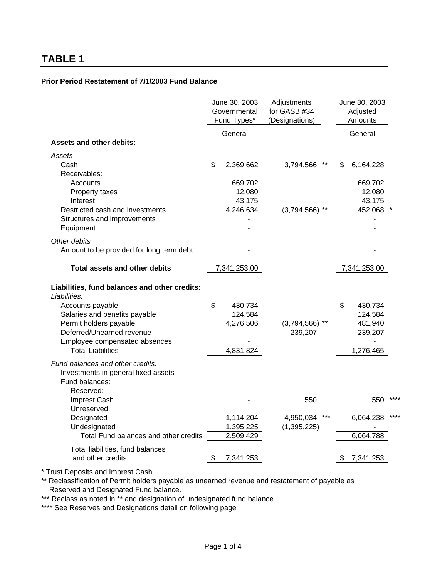#### **Prior Period Restatement of 7/1/2003 Fund Balance**

|                                                                                           | June 30, 2003<br>Adjustments<br>for GASB #34<br>Governmental<br>Fund Types*<br>(Designations) |              |                  | June 30, 2003<br>Adjusted<br>Amounts |              |  |
|-------------------------------------------------------------------------------------------|-----------------------------------------------------------------------------------------------|--------------|------------------|--------------------------------------|--------------|--|
|                                                                                           |                                                                                               | General      |                  |                                      | General      |  |
| <b>Assets and other debits:</b>                                                           |                                                                                               |              |                  |                                      |              |  |
| Assets<br>Cash<br>Receivables:                                                            | \$                                                                                            | 2,369,662    | 3,794,566        | S                                    | 6,164,228    |  |
| Accounts                                                                                  |                                                                                               | 669,702      |                  |                                      | 669,702      |  |
| Property taxes                                                                            |                                                                                               | 12,080       |                  | 12,080                               |              |  |
| Interest                                                                                  |                                                                                               | 43,175       |                  | 43,175                               |              |  |
| Restricted cash and investments                                                           |                                                                                               | 4,246,634    | $(3,794,566)$ ** | 452,068 *                            |              |  |
| Structures and improvements                                                               |                                                                                               |              |                  |                                      |              |  |
| Equipment                                                                                 |                                                                                               |              |                  |                                      |              |  |
| Other debits                                                                              |                                                                                               |              |                  |                                      |              |  |
| Amount to be provided for long term debt                                                  |                                                                                               |              |                  |                                      |              |  |
| <b>Total assets and other debits</b>                                                      |                                                                                               | 7,341,253.00 |                  |                                      | 7,341,253.00 |  |
| Liabilities, fund balances and other credits:<br>Liabilities:                             |                                                                                               |              |                  |                                      |              |  |
| Accounts payable                                                                          | \$                                                                                            | 430,734      |                  | \$                                   | 430,734      |  |
| Salaries and benefits payable                                                             |                                                                                               | 124,584      |                  |                                      | 124,584      |  |
| Permit holders payable                                                                    |                                                                                               | 4,276,506    | $(3,794,566)$ ** |                                      | 481,940      |  |
| Deferred/Unearned revenue                                                                 |                                                                                               |              | 239,207          |                                      | 239,207      |  |
| Employee compensated absences                                                             |                                                                                               |              |                  |                                      |              |  |
| <b>Total Liabilities</b>                                                                  |                                                                                               | 4,831,824    |                  |                                      | 1,276,465    |  |
| Fund balances and other credits:<br>Investments in general fixed assets<br>Fund balances: |                                                                                               |              |                  |                                      |              |  |
| Reserved:                                                                                 |                                                                                               |              |                  |                                      |              |  |
| <b>Imprest Cash</b>                                                                       |                                                                                               |              | 550              |                                      | 550          |  |
| Unreserved:<br>Designated                                                                 |                                                                                               | 1,114,204    | 4,950,034        |                                      | 6,064,238    |  |
| Undesignated                                                                              |                                                                                               | 1,395,225    | (1, 395, 225)    |                                      |              |  |
| Total Fund balances and other credits                                                     |                                                                                               | 2,509,429    |                  |                                      | 6,064,788    |  |
| Total liabilities, fund balances                                                          |                                                                                               |              |                  |                                      |              |  |
| and other credits                                                                         | \$                                                                                            | 7,341,253    |                  | \$                                   | 7,341,253    |  |

\* Trust Deposits and Imprest Cash

\*\* Reclassification of Permit holders payable as unearned revenue and restatement of payable as Reserved and Designated Fund balance.

\*\*\* Reclass as noted in \*\* and designation of undesignated fund balance.

\*\*\*\* See Reserves and Designations detail on following page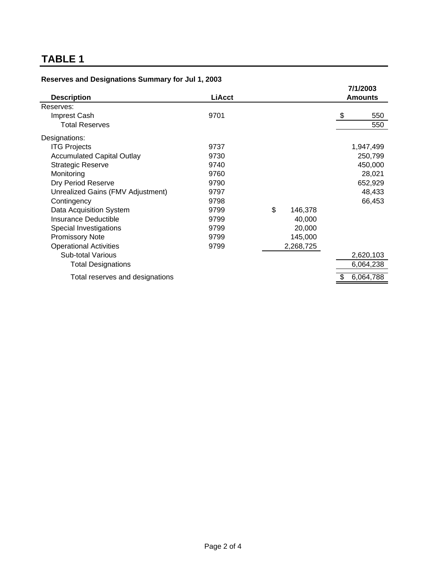|  | Reserves and Designations Summary for Jul 1, 2003 |  |  |  |  |
|--|---------------------------------------------------|--|--|--|--|
|--|---------------------------------------------------|--|--|--|--|

| <b>Description</b>                | <b>LiAcct</b> |               | 7/1/2003<br><b>Amounts</b> |
|-----------------------------------|---------------|---------------|----------------------------|
| Reserves:                         |               |               |                            |
| Imprest Cash                      | 9701          |               | \$<br>550                  |
| <b>Total Reserves</b>             |               |               | 550                        |
| Designations:                     |               |               |                            |
| <b>ITG Projects</b>               | 9737          |               | 1,947,499                  |
| <b>Accumulated Capital Outlay</b> | 9730          |               | 250,799                    |
| <b>Strategic Reserve</b>          | 9740          |               | 450,000                    |
| Monitoring                        | 9760          |               | 28,021                     |
| Dry Period Reserve                | 9790          |               | 652,929                    |
| Unrealized Gains (FMV Adjustment) | 9797          |               | 48,433                     |
| Contingency                       | 9798          |               | 66,453                     |
| Data Acquisition System           | 9799          | \$<br>146,378 |                            |
| <b>Insurance Deductible</b>       | 9799          | 40,000        |                            |
| Special Investigations            | 9799          | 20,000        |                            |
| <b>Promissory Note</b>            | 9799          | 145,000       |                            |
| <b>Operational Activities</b>     | 9799          | 2,268,725     |                            |
| <b>Sub-total Various</b>          |               |               | 2,620,103                  |
| <b>Total Designations</b>         |               |               | 6,064,238                  |
| Total reserves and designations   |               |               | 6,064,788                  |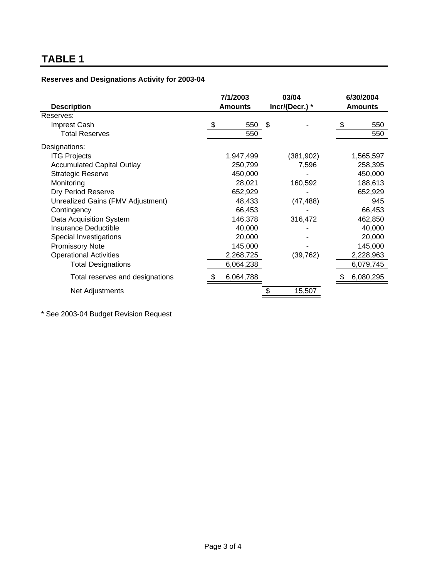|                                   | 7/1/2003  | 03/04          | 6/30/2004<br><b>Amounts</b> |  |
|-----------------------------------|-----------|----------------|-----------------------------|--|
| <b>Description</b>                | Amounts   | Incr/(Decr.) * |                             |  |
| Reserves:                         |           |                |                             |  |
| Imprest Cash                      | \$<br>550 | \$             | \$<br>550                   |  |
| <b>Total Reserves</b>             | 550       |                | 550                         |  |
| Designations:                     |           |                |                             |  |
| <b>ITG Projects</b>               | 1,947,499 | (381, 902)     | 1,565,597                   |  |
| <b>Accumulated Capital Outlay</b> | 250,799   | 7,596          | 258,395                     |  |
| <b>Strategic Reserve</b>          | 450,000   |                | 450,000                     |  |
| Monitoring                        | 28,021    | 160,592        | 188,613                     |  |
| Dry Period Reserve                | 652,929   |                | 652,929                     |  |
| Unrealized Gains (FMV Adjustment) | 48,433    | (47, 488)      | 945                         |  |
| Contingency                       | 66,453    |                | 66,453                      |  |
| Data Acquisition System           | 146,378   | 316,472        | 462,850                     |  |
| <b>Insurance Deductible</b>       | 40,000    |                | 40,000                      |  |
| Special Investigations            | 20,000    |                | 20,000                      |  |
| <b>Promissory Note</b>            | 145,000   |                | 145,000                     |  |
| <b>Operational Activities</b>     | 2,268,725 | (39, 762)      | 2,228,963                   |  |
| <b>Total Designations</b>         | 6,064,238 |                | 6,079,745                   |  |
| Total reserves and designations   | 6,064,788 |                | 6,080,295                   |  |
| Net Adjustments                   |           | 15,507         |                             |  |

#### **Reserves and Designations Activity for 2003-04**

\* See 2003-04 Budget Revision Request